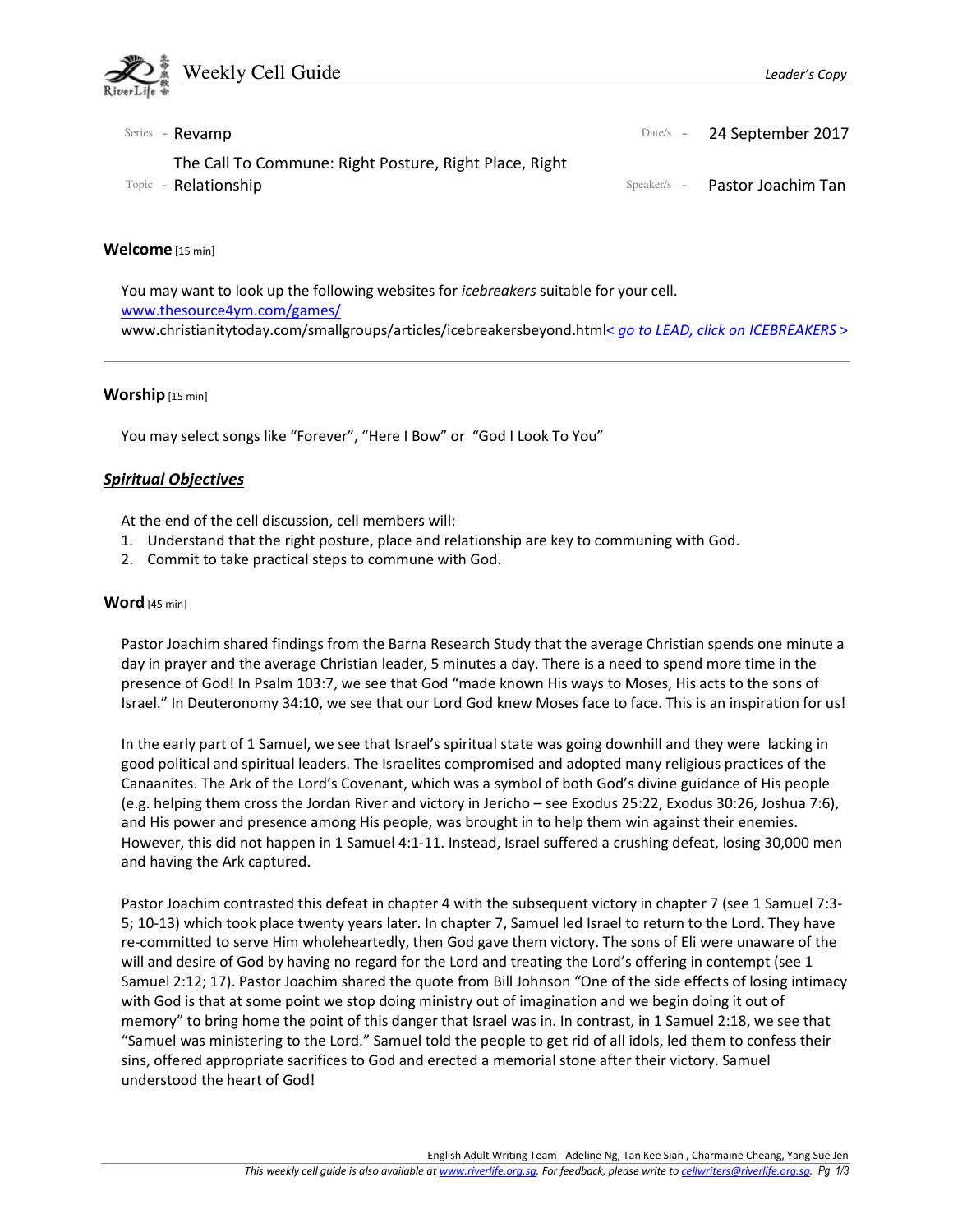

| Series - <b>Revamp</b>                                                         | Date/s - 24 September 2017     |
|--------------------------------------------------------------------------------|--------------------------------|
| The Call To Commune: Right Posture, Right Place, Right<br>Topic - Relationship | Speaker/s - Pastor Joachim Tan |

#### Welcome [15 min]

You may want to look up the following websites for icebreakers suitable for your cell. www.thesource4ym.com/games/ www.christianitytoday.com/smallgroups/articles/icebreakersbeyond.html< go to LEAD, click on ICEBREAKERS >

#### Worship [15 min]

You may select songs like "Forever", "Here I Bow" or "God I Look To You"

## Spiritual Objectives

At the end of the cell discussion, cell members will:

- 1. Understand that the right posture, place and relationship are key to communing with God.
- 2. Commit to take practical steps to commune with God.

#### Word [45 min]

Pastor Joachim shared findings from the Barna Research Study that the average Christian spends one minute a day in prayer and the average Christian leader, 5 minutes a day. There is a need to spend more time in the presence of God! In Psalm 103:7, we see that God "made known His ways to Moses, His acts to the sons of Israel." In Deuteronomy 34:10, we see that our Lord God knew Moses face to face. This is an inspiration for us!

In the early part of 1 Samuel, we see that Israel's spiritual state was going downhill and they were lacking in good political and spiritual leaders. The Israelites compromised and adopted many religious practices of the Canaanites. The Ark of the Lord's Covenant, which was a symbol of both God's divine guidance of His people (e.g. helping them cross the Jordan River and victory in Jericho – see Exodus 25:22, Exodus 30:26, Joshua 7:6), and His power and presence among His people, was brought in to help them win against their enemies. However, this did not happen in 1 Samuel 4:1-11. Instead, Israel suffered a crushing defeat, losing 30,000 men and having the Ark captured.

Pastor Joachim contrasted this defeat in chapter 4 with the subsequent victory in chapter 7 (see 1 Samuel 7:3- 5; 10-13) which took place twenty years later. In chapter 7, Samuel led Israel to return to the Lord. They have re-committed to serve Him wholeheartedly, then God gave them victory. The sons of Eli were unaware of the will and desire of God by having no regard for the Lord and treating the Lord's offering in contempt (see 1 Samuel 2:12; 17). Pastor Joachim shared the quote from Bill Johnson "One of the side effects of losing intimacy with God is that at some point we stop doing ministry out of imagination and we begin doing it out of memory" to bring home the point of this danger that Israel was in. In contrast, in 1 Samuel 2:18, we see that "Samuel was ministering to the Lord." Samuel told the people to get rid of all idols, led them to confess their sins, offered appropriate sacrifices to God and erected a memorial stone after their victory. Samuel understood the heart of God!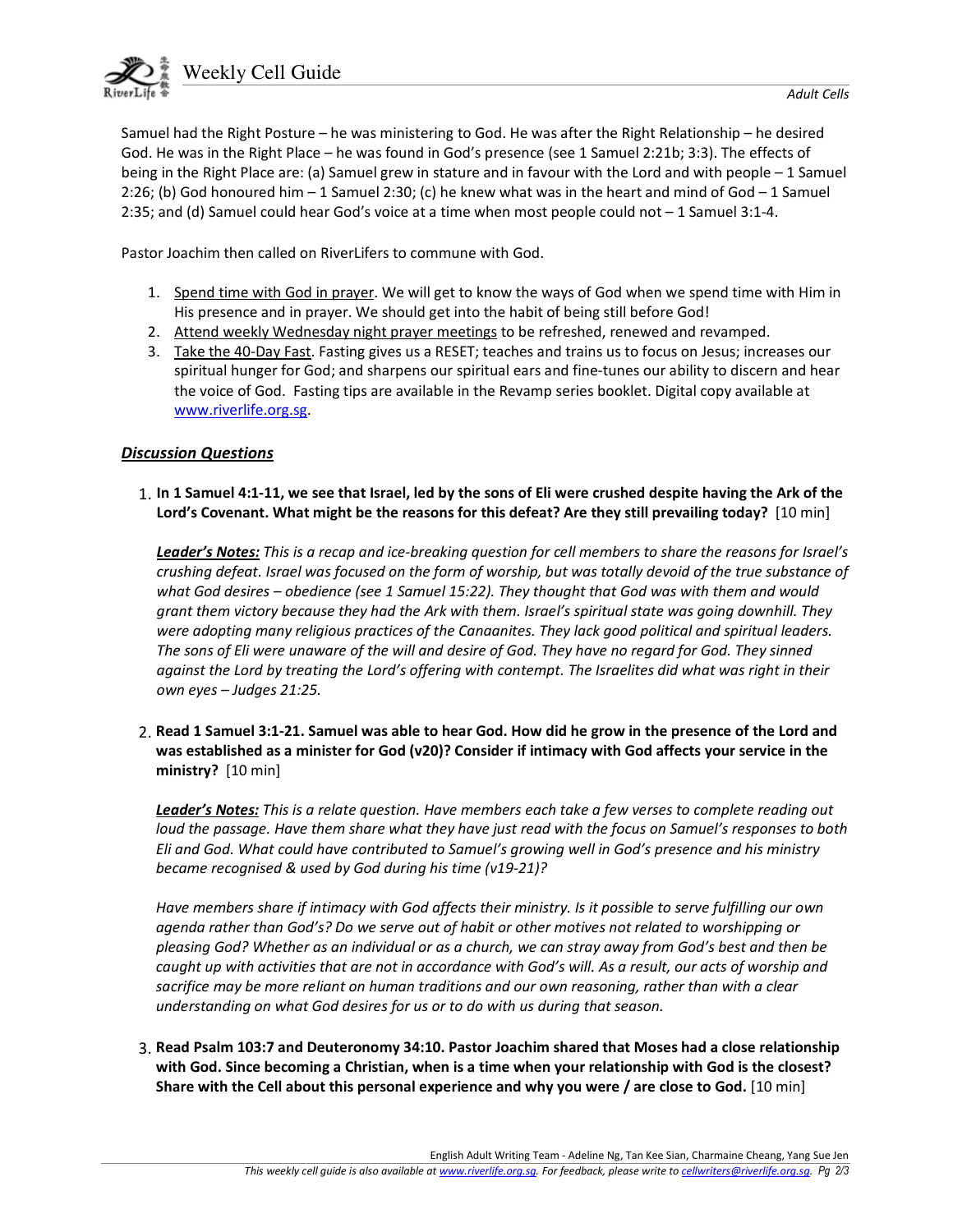

Samuel had the Right Posture – he was ministering to God. He was after the Right Relationship – he desired God. He was in the Right Place – he was found in God's presence (see 1 Samuel 2:21b; 3:3). The effects of being in the Right Place are: (a) Samuel grew in stature and in favour with the Lord and with people – 1 Samuel 2:26; (b) God honoured him – 1 Samuel 2:30; (c) he knew what was in the heart and mind of God – 1 Samuel 2:35; and (d) Samuel could hear God's voice at a time when most people could not – 1 Samuel 3:1-4.

Pastor Joachim then called on RiverLifers to commune with God.

- 1. Spend time with God in prayer. We will get to know the ways of God when we spend time with Him in His presence and in prayer. We should get into the habit of being still before God!
- 2. Attend weekly Wednesday night prayer meetings to be refreshed, renewed and revamped.
- 3. Take the 40-Day Fast. Fasting gives us a RESET; teaches and trains us to focus on Jesus; increases our spiritual hunger for God; and sharpens our spiritual ears and fine-tunes our ability to discern and hear the voice of God. Fasting tips are available in the Revamp series booklet. Digital copy available at www.riverlife.org.sg.

# Discussion Questions

1. In 1 Samuel 4:1-11, we see that Israel, led by the sons of Eli were crushed despite having the Ark of the Lord's Covenant. What might be the reasons for this defeat? Are they still prevailing today? [10 min]

Leader's Notes: This is a recap and ice-breaking question for cell members to share the reasons for Israel's crushing defeat. Israel was focused on the form of worship, but was totally devoid of the true substance of what God desires – obedience (see 1 Samuel 15:22). They thought that God was with them and would grant them victory because they had the Ark with them. Israel's spiritual state was going downhill. They were adopting many religious practices of the Canaanites. They lack good political and spiritual leaders. The sons of Eli were unaware of the will and desire of God. They have no regard for God. They sinned against the Lord by treating the Lord's offering with contempt. The Israelites did what was right in their own eyes – Judges 21:25.

2. Read 1 Samuel 3:1-21. Samuel was able to hear God. How did he grow in the presence of the Lord and was established as a minister for God (v20)? Consider if intimacy with God affects your service in the ministry? [10 min]

Leader's Notes: This is a relate question. Have members each take a few verses to complete reading out loud the passage. Have them share what they have just read with the focus on Samuel's responses to both Eli and God. What could have contributed to Samuel's growing well in God's presence and his ministry became recognised & used by God during his time (v19-21)?

Have members share if intimacy with God affects their ministry. Is it possible to serve fulfilling our own agenda rather than God's? Do we serve out of habit or other motives not related to worshipping or pleasing God? Whether as an individual or as a church, we can stray away from God's best and then be caught up with activities that are not in accordance with God's will. As a result, our acts of worship and sacrifice may be more reliant on human traditions and our own reasoning, rather than with a clear understanding on what God desires for us or to do with us during that season.

3. Read Psalm 103:7 and Deuteronomy 34:10. Pastor Joachim shared that Moses had a close relationship with God. Since becoming a Christian, when is a time when your relationship with God is the closest? Share with the Cell about this personal experience and why you were / are close to God. [10 min]